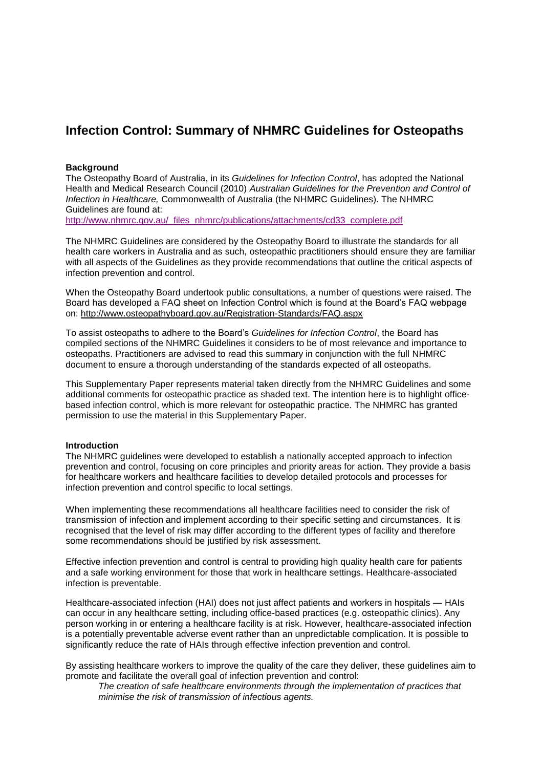# **Infection Control: Summary of NHMRC Guidelines for Osteopaths**

#### **Background**

The Osteopathy Board of Australia, in its *Guidelines for Infection Control*, has adopted the National Health and Medical Research Council (2010) *Australian Guidelines for the Prevention and Control of Infection in Healthcare,* Commonwealth of Australia (the NHMRC Guidelines). The NHMRC Guidelines are found at:

[http://www.nhmrc.gov.au/\\_files\\_nhmrc/publications/attachments/cd33\\_complete.pdf](http://www.nhmrc.gov.au/_files_nhmrc/publications/attachments/cd33_complete.pdf)

The NHMRC Guidelines are considered by the Osteopathy Board to illustrate the standards for all health care workers in Australia and as such, osteopathic practitioners should ensure they are familiar with all aspects of the Guidelines as they provide recommendations that outline the critical aspects of infection prevention and control.

When the Osteopathy Board undertook public consultations, a number of questions were raised. The Board has developed a FAQ sheet on Infection Control which is found at the Board's FAQ webpage on:<http://www.osteopathyboard.gov.au/Registration-Standards/FAQ.aspx>

To assist osteopaths to adhere to the Board's *Guidelines for Infection Control*, the Board has compiled sections of the NHMRC Guidelines it considers to be of most relevance and importance to osteopaths. Practitioners are advised to read this summary in conjunction with the full NHMRC document to ensure a thorough understanding of the standards expected of all osteopaths.

This Supplementary Paper represents material taken directly from the NHMRC Guidelines and some additional comments for osteopathic practice as shaded text. The intention here is to highlight officebased infection control, which is more relevant for osteopathic practice. The NHMRC has granted permission to use the material in this Supplementary Paper.

#### **Introduction**

The NHMRC guidelines were developed to establish a nationally accepted approach to infection prevention and control, focusing on core principles and priority areas for action. They provide a basis for healthcare workers and healthcare facilities to develop detailed protocols and processes for infection prevention and control specific to local settings.

When implementing these recommendations all healthcare facilities need to consider the risk of transmission of infection and implement according to their specific setting and circumstances. It is recognised that the level of risk may differ according to the different types of facility and therefore some recommendations should be justified by risk assessment.

Effective infection prevention and control is central to providing high quality health care for patients and a safe working environment for those that work in healthcare settings. Healthcare-associated infection is preventable.

Healthcare-associated infection (HAI) does not just affect patients and workers in hospitals — HAIs can occur in any healthcare setting, including office-based practices (e.g. osteopathic clinics). Any person working in or entering a healthcare facility is at risk. However, healthcare-associated infection is a potentially preventable adverse event rather than an unpredictable complication. It is possible to significantly reduce the rate of HAIs through effective infection prevention and control.

By assisting healthcare workers to improve the quality of the care they deliver, these guidelines aim to promote and facilitate the overall goal of infection prevention and control:

*The creation of safe healthcare environments through the implementation of practices that minimise the risk of transmission of infectious agents.*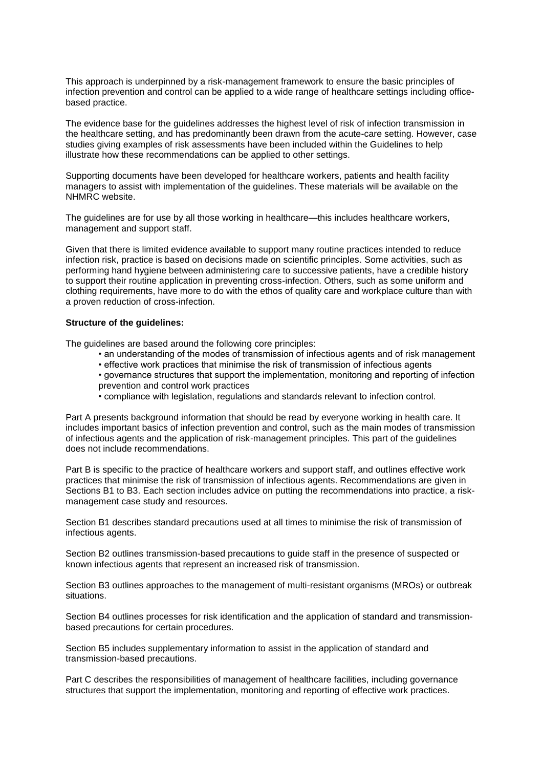This approach is underpinned by a risk-management framework to ensure the basic principles of infection prevention and control can be applied to a wide range of healthcare settings including officebased practice.

The evidence base for the guidelines addresses the highest level of risk of infection transmission in the healthcare setting, and has predominantly been drawn from the acute-care setting. However, case studies giving examples of risk assessments have been included within the Guidelines to help illustrate how these recommendations can be applied to other settings.

Supporting documents have been developed for healthcare workers, patients and health facility managers to assist with implementation of the guidelines. These materials will be available on the NHMRC website.

The guidelines are for use by all those working in healthcare—this includes healthcare workers, management and support staff.

Given that there is limited evidence available to support many routine practices intended to reduce infection risk, practice is based on decisions made on scientific principles. Some activities, such as performing hand hygiene between administering care to successive patients, have a credible history to support their routine application in preventing cross-infection. Others, such as some uniform and clothing requirements, have more to do with the ethos of quality care and workplace culture than with a proven reduction of cross-infection.

#### **Structure of the guidelines:**

The guidelines are based around the following core principles:

- an understanding of the modes of transmission of infectious agents and of risk management
- effective work practices that minimise the risk of transmission of infectious agents
- governance structures that support the implementation, monitoring and reporting of infection prevention and control work practices
- compliance with legislation, regulations and standards relevant to infection control.

Part A presents background information that should be read by everyone working in health care. It includes important basics of infection prevention and control, such as the main modes of transmission of infectious agents and the application of risk-management principles. This part of the guidelines does not include recommendations.

Part B is specific to the practice of healthcare workers and support staff, and outlines effective work practices that minimise the risk of transmission of infectious agents. Recommendations are given in Sections B1 to B3. Each section includes advice on putting the recommendations into practice, a riskmanagement case study and resources.

Section B1 describes standard precautions used at all times to minimise the risk of transmission of infectious agents.

Section B2 outlines transmission-based precautions to guide staff in the presence of suspected or known infectious agents that represent an increased risk of transmission.

Section B3 outlines approaches to the management of multi-resistant organisms (MROs) or outbreak situations.

Section B4 outlines processes for risk identification and the application of standard and transmissionbased precautions for certain procedures.

Section B5 includes supplementary information to assist in the application of standard and transmission-based precautions.

Part C describes the responsibilities of management of healthcare facilities, including governance structures that support the implementation, monitoring and reporting of effective work practices.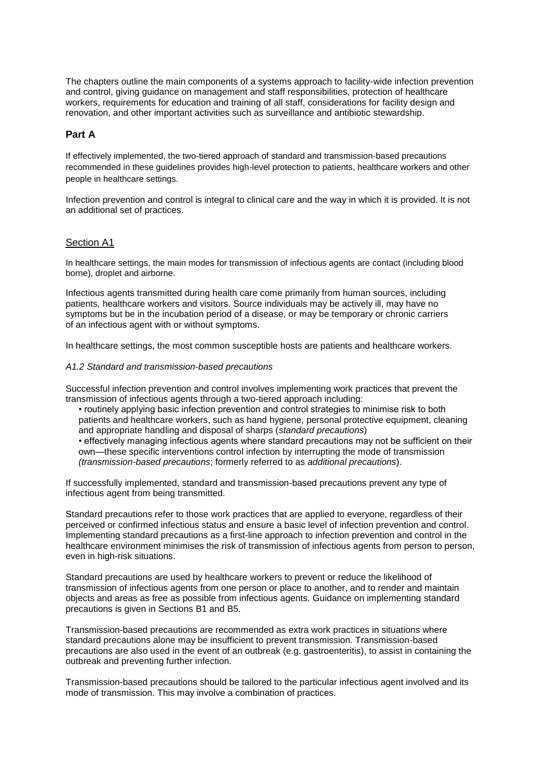The chapters outline the main components of a systems approach to facility-wide infection prevention and control, giving guidance on management and staff responsibilities, protection of healthcare workers, requirements for education and training of all staff, considerations for facility design and renovation, and other important activities such as surveillance and antibiotic stewardship.

# **Part A**

If effectively implemented, the two-tiered approach of standard and transmission-based precautions recommended in these guidelines provides high-level protection to patients, healthcare workers and other people in healthcare settings.

Infection prevention and control is integral to clinical care and the way in which it is provided. It is not an additional set of practices.

### Section A1

In healthcare settings, the main modes for transmission of infectious agents are contact (including blood borne), droplet and airborne.

Infectious agents transmitted during health care come primarily from human sources, including patients, healthcare workers and visitors. Source individuals may be actively ill, may have no symptoms but be in the incubation period of a disease, or may be temporary or chronic carriers of an infectious agent with or without symptoms.

In healthcare settings, the most common susceptible hosts are patients and healthcare workers.

#### *A1.2 Standard and transmission-based precautions*

Successful infection prevention and control involves implementing work practices that prevent the transmission of infectious agents through a two-tiered approach including:

• routinely applying basic infection prevention and control strategies to minimise risk to both patients and healthcare workers, such as hand hygiene, personal protective equipment, cleaning and appropriate handling and disposal of sharps (*standard precautions*)

• effectively managing infectious agents where standard precautions may not be sufficient on their own—these specific interventions control infection by interrupting the mode of transmission *(transmission-based precautions*; formerly referred to as *additional precautions*).

If successfully implemented, standard and transmission-based precautions prevent any type of infectious agent from being transmitted.

Standard precautions refer to those work practices that are applied to everyone, regardless of their perceived or confirmed infectious status and ensure a basic level of infection prevention and control. Implementing standard precautions as a first-line approach to infection prevention and control in the healthcare environment minimises the risk of transmission of infectious agents from person to person, even in high-risk situations.

Standard precautions are used by healthcare workers to prevent or reduce the likelihood of transmission of infectious agents from one person or place to another, and to render and maintain objects and areas as free as possible from infectious agents. Guidance on implementing standard precautions is given in Sections B1 and B5.

Transmission-based precautions are recommended as extra work practices in situations where standard precautions alone may be insufficient to prevent transmission. Transmission-based precautions are also used in the event of an outbreak (e.g. gastroenteritis), to assist in containing the outbreak and preventing further infection.

Transmission-based precautions should be tailored to the particular infectious agent involved and its mode of transmission. This may involve a combination of practices.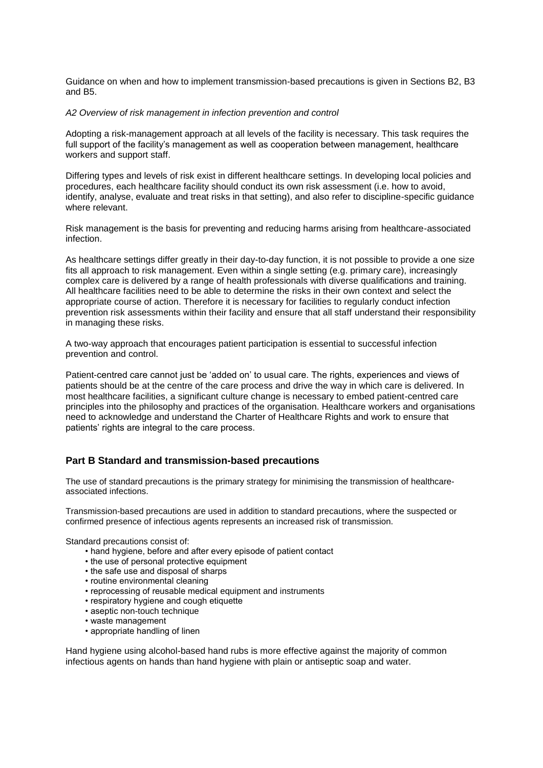Guidance on when and how to implement transmission-based precautions is given in Sections B2, B3 and B5.

#### *A2 Overview of risk management in infection prevention and control*

Adopting a risk-management approach at all levels of the facility is necessary. This task requires the full support of the facility's management as well as cooperation between management, healthcare workers and support staff.

Differing types and levels of risk exist in different healthcare settings. In developing local policies and procedures, each healthcare facility should conduct its own risk assessment (i.e. how to avoid, identify, analyse, evaluate and treat risks in that setting), and also refer to discipline-specific guidance where relevant.

Risk management is the basis for preventing and reducing harms arising from healthcare-associated infection.

As healthcare settings differ greatly in their day-to-day function, it is not possible to provide a one size fits all approach to risk management. Even within a single setting (e.g. primary care), increasingly complex care is delivered by a range of health professionals with diverse qualifications and training. All healthcare facilities need to be able to determine the risks in their own context and select the appropriate course of action. Therefore it is necessary for facilities to regularly conduct infection prevention risk assessments within their facility and ensure that all staff understand their responsibility in managing these risks.

A two-way approach that encourages patient participation is essential to successful infection prevention and control.

Patient-centred care cannot just be 'added on' to usual care. The rights, experiences and views of patients should be at the centre of the care process and drive the way in which care is delivered. In most healthcare facilities, a significant culture change is necessary to embed patient-centred care principles into the philosophy and practices of the organisation. Healthcare workers and organisations need to acknowledge and understand the Charter of Healthcare Rights and work to ensure that patients' rights are integral to the care process.

#### **Part B Standard and transmission-based precautions**

The use of standard precautions is the primary strategy for minimising the transmission of healthcareassociated infections.

Transmission-based precautions are used in addition to standard precautions, where the suspected or confirmed presence of infectious agents represents an increased risk of transmission.

Standard precautions consist of:

- hand hygiene, before and after every episode of patient contact
- the use of personal protective equipment
- the safe use and disposal of sharps
- routine environmental cleaning
- reprocessing of reusable medical equipment and instruments
- respiratory hygiene and cough etiquette
- aseptic non-touch technique
- waste management
- appropriate handling of linen

Hand hygiene using alcohol-based hand rubs is more effective against the majority of common infectious agents on hands than hand hygiene with plain or antiseptic soap and water.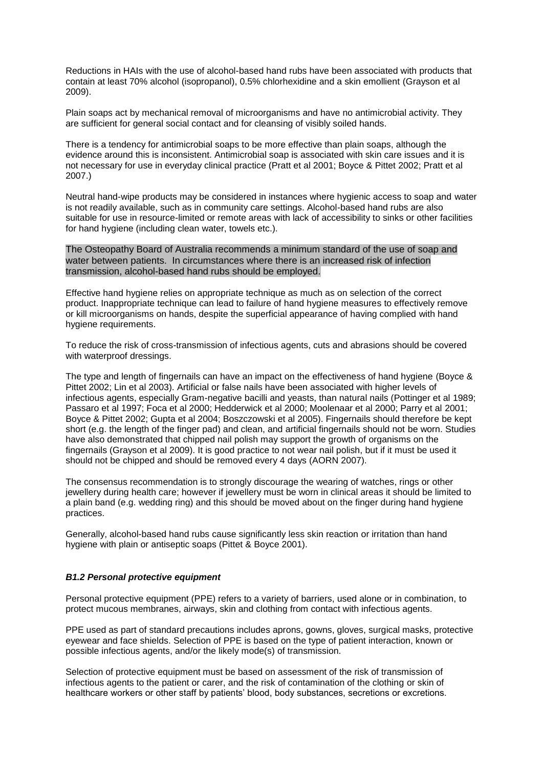Reductions in HAIs with the use of alcohol-based hand rubs have been associated with products that contain at least 70% alcohol (isopropanol), 0.5% chlorhexidine and a skin emollient (Grayson et al 2009).

Plain soaps act by mechanical removal of microorganisms and have no antimicrobial activity. They are sufficient for general social contact and for cleansing of visibly soiled hands.

There is a tendency for antimicrobial soaps to be more effective than plain soaps, although the evidence around this is inconsistent. Antimicrobial soap is associated with skin care issues and it is not necessary for use in everyday clinical practice (Pratt et al 2001; Boyce & Pittet 2002; Pratt et al 2007.)

Neutral hand-wipe products may be considered in instances where hygienic access to soap and water is not readily available, such as in community care settings. Alcohol-based hand rubs are also suitable for use in resource-limited or remote areas with lack of accessibility to sinks or other facilities for hand hygiene (including clean water, towels etc.).

The Osteopathy Board of Australia recommends a minimum standard of the use of soap and water between patients. In circumstances where there is an increased risk of infection transmission, alcohol-based hand rubs should be employed.

Effective hand hygiene relies on appropriate technique as much as on selection of the correct product. Inappropriate technique can lead to failure of hand hygiene measures to effectively remove or kill microorganisms on hands, despite the superficial appearance of having complied with hand hygiene requirements.

To reduce the risk of cross-transmission of infectious agents, cuts and abrasions should be covered with waterproof dressings.

The type and length of fingernails can have an impact on the effectiveness of hand hygiene (Boyce & Pittet 2002; Lin et al 2003). Artificial or false nails have been associated with higher levels of infectious agents, especially Gram-negative bacilli and yeasts, than natural nails (Pottinger et al 1989; Passaro et al 1997; Foca et al 2000; Hedderwick et al 2000; Moolenaar et al 2000; Parry et al 2001; Boyce & Pittet 2002; Gupta et al 2004; Boszczowski et al 2005). Fingernails should therefore be kept short (e.g. the length of the finger pad) and clean, and artificial fingernails should not be worn. Studies have also demonstrated that chipped nail polish may support the growth of organisms on the fingernails (Grayson et al 2009). It is good practice to not wear nail polish, but if it must be used it should not be chipped and should be removed every 4 days (AORN 2007).

The consensus recommendation is to strongly discourage the wearing of watches, rings or other jewellery during health care; however if jewellery must be worn in clinical areas it should be limited to a plain band (e.g. wedding ring) and this should be moved about on the finger during hand hygiene practices.

Generally, alcohol-based hand rubs cause significantly less skin reaction or irritation than hand hygiene with plain or antiseptic soaps (Pittet & Boyce 2001).

#### *B1.2 Personal protective equipment*

Personal protective equipment (PPE) refers to a variety of barriers, used alone or in combination, to protect mucous membranes, airways, skin and clothing from contact with infectious agents.

PPE used as part of standard precautions includes aprons, gowns, gloves, surgical masks, protective eyewear and face shields. Selection of PPE is based on the type of patient interaction, known or possible infectious agents, and/or the likely mode(s) of transmission.

Selection of protective equipment must be based on assessment of the risk of transmission of infectious agents to the patient or carer, and the risk of contamination of the clothing or skin of healthcare workers or other staff by patients' blood, body substances, secretions or excretions.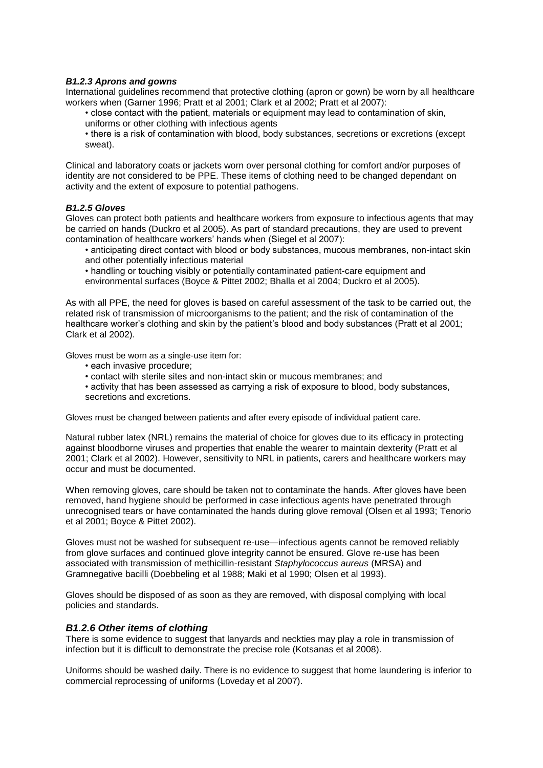#### *B1.2.3 Aprons and gowns*

International guidelines recommend that protective clothing (apron or gown) be worn by all healthcare workers when (Garner 1996; Pratt et al 2001; Clark et al 2002; Pratt et al 2007):

- close contact with the patient, materials or equipment may lead to contamination of skin, uniforms or other clothing with infectious agents
- there is a risk of contamination with blood, body substances, secretions or excretions (except sweat).

Clinical and laboratory coats or jackets worn over personal clothing for comfort and/or purposes of identity are not considered to be PPE. These items of clothing need to be changed dependant on activity and the extent of exposure to potential pathogens.

#### *B1.2.5 Gloves*

Gloves can protect both patients and healthcare workers from exposure to infectious agents that may be carried on hands (Duckro et al 2005). As part of standard precautions, they are used to prevent contamination of healthcare workers' hands when (Siegel et al 2007):

- anticipating direct contact with blood or body substances, mucous membranes, non-intact skin and other potentially infectious material
- handling or touching visibly or potentially contaminated patient-care equipment and environmental surfaces (Boyce & Pittet 2002; Bhalla et al 2004; Duckro et al 2005).

As with all PPE, the need for gloves is based on careful assessment of the task to be carried out, the related risk of transmission of microorganisms to the patient; and the risk of contamination of the healthcare worker's clothing and skin by the patient's blood and body substances (Pratt et al 2001; Clark et al 2002).

Gloves must be worn as a single-use item for:

- each invasive procedure;
- contact with sterile sites and non-intact skin or mucous membranes; and
- activity that has been assessed as carrying a risk of exposure to blood, body substances, secretions and excretions.

Gloves must be changed between patients and after every episode of individual patient care.

Natural rubber latex (NRL) remains the material of choice for gloves due to its efficacy in protecting against bloodborne viruses and properties that enable the wearer to maintain dexterity (Pratt et al 2001; Clark et al 2002). However, sensitivity to NRL in patients, carers and healthcare workers may occur and must be documented.

When removing gloves, care should be taken not to contaminate the hands. After gloves have been removed, hand hygiene should be performed in case infectious agents have penetrated through unrecognised tears or have contaminated the hands during glove removal (Olsen et al 1993; Tenorio et al 2001; Boyce & Pittet 2002).

Gloves must not be washed for subsequent re-use—infectious agents cannot be removed reliably from glove surfaces and continued glove integrity cannot be ensured. Glove re-use has been associated with transmission of methicillin-resistant *Staphylococcus aureus* (MRSA) and Gramnegative bacilli (Doebbeling et al 1988; Maki et al 1990; Olsen et al 1993).

Gloves should be disposed of as soon as they are removed, with disposal complying with local policies and standards.

#### *B1.2.6 Other items of clothing*

There is some evidence to suggest that lanyards and neckties may play a role in transmission of infection but it is difficult to demonstrate the precise role (Kotsanas et al 2008).

Uniforms should be washed daily. There is no evidence to suggest that home laundering is inferior to commercial reprocessing of uniforms (Loveday et al 2007).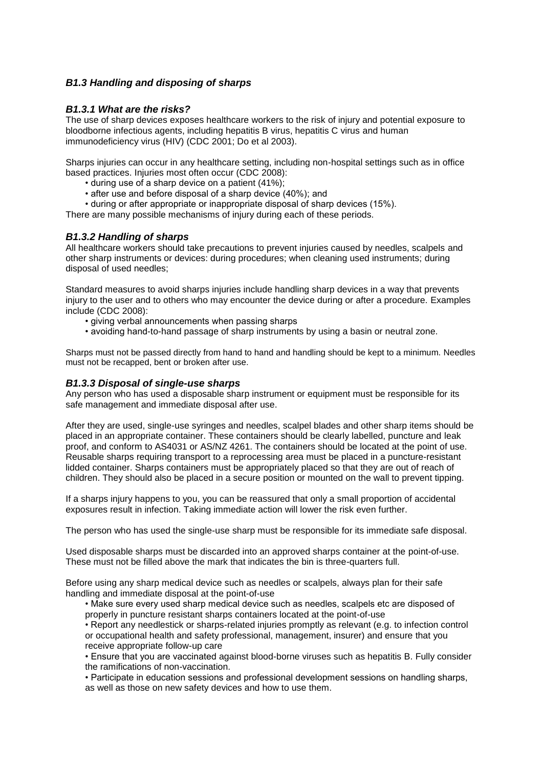# *B1.3 Handling and disposing of sharps*

# *B1.3.1 What are the risks?*

The use of sharp devices exposes healthcare workers to the risk of injury and potential exposure to bloodborne infectious agents, including hepatitis B virus, hepatitis C virus and human immunodeficiency virus (HIV) (CDC 2001; Do et al 2003).

Sharps injuries can occur in any healthcare setting, including non-hospital settings such as in office based practices. Injuries most often occur (CDC 2008):

- during use of a sharp device on a patient (41%);
- after use and before disposal of a sharp device (40%); and
- during or after appropriate or inappropriate disposal of sharp devices (15%).

There are many possible mechanisms of injury during each of these periods.

# *B1.3.2 Handling of sharps*

All healthcare workers should take precautions to prevent injuries caused by needles, scalpels and other sharp instruments or devices: during procedures; when cleaning used instruments; during disposal of used needles;

Standard measures to avoid sharps injuries include handling sharp devices in a way that prevents injury to the user and to others who may encounter the device during or after a procedure. Examples include (CDC 2008):

- giving verbal announcements when passing sharps
- avoiding hand-to-hand passage of sharp instruments by using a basin or neutral zone.

Sharps must not be passed directly from hand to hand and handling should be kept to a minimum. Needles must not be recapped, bent or broken after use.

### *B1.3.3 Disposal of single-use sharps*

Any person who has used a disposable sharp instrument or equipment must be responsible for its safe management and immediate disposal after use.

After they are used, single-use syringes and needles, scalpel blades and other sharp items should be placed in an appropriate container. These containers should be clearly labelled, puncture and leak proof, and conform to AS4031 or AS/NZ 4261. The containers should be located at the point of use. Reusable sharps requiring transport to a reprocessing area must be placed in a puncture-resistant lidded container. Sharps containers must be appropriately placed so that they are out of reach of children. They should also be placed in a secure position or mounted on the wall to prevent tipping.

If a sharps injury happens to you, you can be reassured that only a small proportion of accidental exposures result in infection. Taking immediate action will lower the risk even further.

The person who has used the single-use sharp must be responsible for its immediate safe disposal.

Used disposable sharps must be discarded into an approved sharps container at the point-of-use. These must not be filled above the mark that indicates the bin is three-quarters full.

Before using any sharp medical device such as needles or scalpels, always plan for their safe handling and immediate disposal at the point-of-use

• Make sure every used sharp medical device such as needles, scalpels etc are disposed of properly in puncture resistant sharps containers located at the point-of-use

• Report any needlestick or sharps-related injuries promptly as relevant (e.g. to infection control or occupational health and safety professional, management, insurer) and ensure that you receive appropriate follow-up care

• Ensure that you are vaccinated against blood-borne viruses such as hepatitis B. Fully consider the ramifications of non-vaccination.

• Participate in education sessions and professional development sessions on handling sharps, as well as those on new safety devices and how to use them.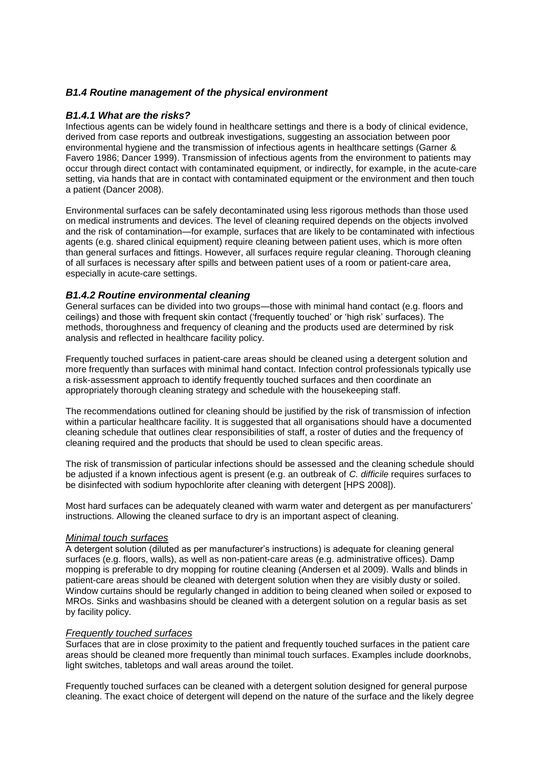# *B1.4 Routine management of the physical environment*

### *B1.4.1 What are the risks?*

Infectious agents can be widely found in healthcare settings and there is a body of clinical evidence, derived from case reports and outbreak investigations, suggesting an association between poor environmental hygiene and the transmission of infectious agents in healthcare settings (Garner & Favero 1986; Dancer 1999). Transmission of infectious agents from the environment to patients may occur through direct contact with contaminated equipment, or indirectly, for example, in the acute-care setting, via hands that are in contact with contaminated equipment or the environment and then touch a patient (Dancer 2008).

Environmental surfaces can be safely decontaminated using less rigorous methods than those used on medical instruments and devices. The level of cleaning required depends on the objects involved and the risk of contamination—for example, surfaces that are likely to be contaminated with infectious agents (e.g. shared clinical equipment) require cleaning between patient uses, which is more often than general surfaces and fittings. However, all surfaces require regular cleaning. Thorough cleaning of all surfaces is necessary after spills and between patient uses of a room or patient-care area, especially in acute-care settings.

# *B1.4.2 Routine environmental cleaning*

General surfaces can be divided into two groups—those with minimal hand contact (e.g. floors and ceilings) and those with frequent skin contact ('frequently touched' or 'high risk' surfaces). The methods, thoroughness and frequency of cleaning and the products used are determined by risk analysis and reflected in healthcare facility policy.

Frequently touched surfaces in patient-care areas should be cleaned using a detergent solution and more frequently than surfaces with minimal hand contact. Infection control professionals typically use a risk-assessment approach to identify frequently touched surfaces and then coordinate an appropriately thorough cleaning strategy and schedule with the housekeeping staff.

The recommendations outlined for cleaning should be justified by the risk of transmission of infection within a particular healthcare facility. It is suggested that all organisations should have a documented cleaning schedule that outlines clear responsibilities of staff, a roster of duties and the frequency of cleaning required and the products that should be used to clean specific areas.

The risk of transmission of particular infections should be assessed and the cleaning schedule should be adjusted if a known infectious agent is present (e.g. an outbreak of *C. difficile* requires surfaces to be disinfected with sodium hypochlorite after cleaning with detergent [HPS 2008]).

Most hard surfaces can be adequately cleaned with warm water and detergent as per manufacturers' instructions. Allowing the cleaned surface to dry is an important aspect of cleaning.

#### *Minimal touch surfaces*

A detergent solution (diluted as per manufacturer's instructions) is adequate for cleaning general surfaces (e.g. floors, walls), as well as non-patient-care areas (e.g. administrative offices). Damp mopping is preferable to dry mopping for routine cleaning (Andersen et al 2009). Walls and blinds in patient-care areas should be cleaned with detergent solution when they are visibly dusty or soiled. Window curtains should be regularly changed in addition to being cleaned when soiled or exposed to MROs. Sinks and washbasins should be cleaned with a detergent solution on a regular basis as set by facility policy.

# *Frequently touched surfaces*

Surfaces that are in close proximity to the patient and frequently touched surfaces in the patient care areas should be cleaned more frequently than minimal touch surfaces. Examples include doorknobs, light switches, tabletops and wall areas around the toilet.

Frequently touched surfaces can be cleaned with a detergent solution designed for general purpose cleaning. The exact choice of detergent will depend on the nature of the surface and the likely degree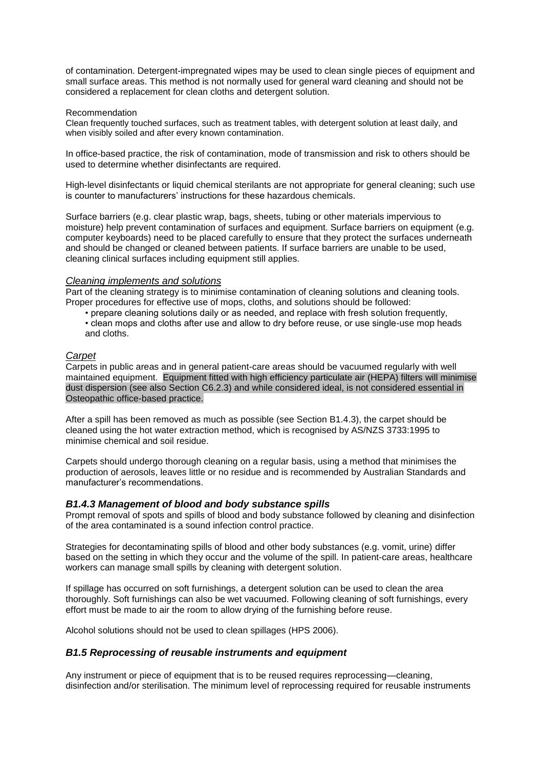of contamination. Detergent-impregnated wipes may be used to clean single pieces of equipment and small surface areas. This method is not normally used for general ward cleaning and should not be considered a replacement for clean cloths and detergent solution.

#### Recommendation

Clean frequently touched surfaces, such as treatment tables, with detergent solution at least daily, and when visibly soiled and after every known contamination.

In office-based practice, the risk of contamination, mode of transmission and risk to others should be used to determine whether disinfectants are required.

High-level disinfectants or liquid chemical sterilants are not appropriate for general cleaning; such use is counter to manufacturers' instructions for these hazardous chemicals.

Surface barriers (e.g. clear plastic wrap, bags, sheets, tubing or other materials impervious to moisture) help prevent contamination of surfaces and equipment. Surface barriers on equipment (e.g. computer keyboards) need to be placed carefully to ensure that they protect the surfaces underneath and should be changed or cleaned between patients. If surface barriers are unable to be used, cleaning clinical surfaces including equipment still applies.

### *Cleaning implements and solutions*

Part of the cleaning strategy is to minimise contamination of cleaning solutions and cleaning tools. Proper procedures for effective use of mops, cloths, and solutions should be followed:

• prepare cleaning solutions daily or as needed, and replace with fresh solution frequently, • clean mops and cloths after use and allow to dry before reuse, or use single-use mop heads and cloths.

# *Carpet*

Carpets in public areas and in general patient-care areas should be vacuumed regularly with well maintained equipment. Equipment fitted with high efficiency particulate air (HEPA) filters will minimise dust dispersion (see also Section C6.2.3) and while considered ideal, is not considered essential in Osteopathic office-based practice.

After a spill has been removed as much as possible (see Section B1.4.3), the carpet should be cleaned using the hot water extraction method, which is recognised by AS/NZS 3733:1995 to minimise chemical and soil residue.

Carpets should undergo thorough cleaning on a regular basis, using a method that minimises the production of aerosols, leaves little or no residue and is recommended by Australian Standards and manufacturer's recommendations.

# *B1.4.3 Management of blood and body substance spills*

Prompt removal of spots and spills of blood and body substance followed by cleaning and disinfection of the area contaminated is a sound infection control practice.

Strategies for decontaminating spills of blood and other body substances (e.g. vomit, urine) differ based on the setting in which they occur and the volume of the spill. In patient-care areas, healthcare workers can manage small spills by cleaning with detergent solution.

If spillage has occurred on soft furnishings, a detergent solution can be used to clean the area thoroughly. Soft furnishings can also be wet vacuumed. Following cleaning of soft furnishings, every effort must be made to air the room to allow drying of the furnishing before reuse.

Alcohol solutions should not be used to clean spillages (HPS 2006).

# *B1.5 Reprocessing of reusable instruments and equipment*

Any instrument or piece of equipment that is to be reused requires reprocessing—cleaning, disinfection and/or sterilisation. The minimum level of reprocessing required for reusable instruments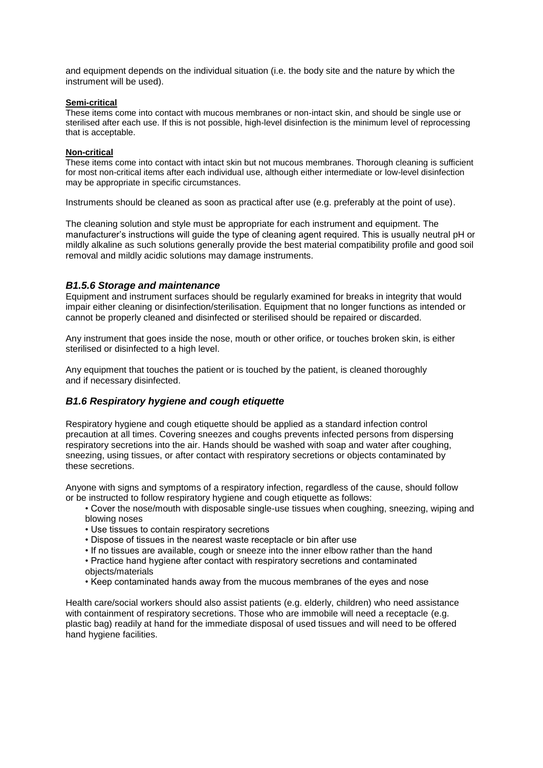and equipment depends on the individual situation (i.e. the body site and the nature by which the instrument will be used).

#### **Semi-critical**

These items come into contact with mucous membranes or non-intact skin, and should be single use or sterilised after each use. If this is not possible, high-level disinfection is the minimum level of reprocessing that is acceptable.

### **Non-critical**

These items come into contact with intact skin but not mucous membranes. Thorough cleaning is sufficient for most non-critical items after each individual use, although either intermediate or low-level disinfection may be appropriate in specific circumstances.

Instruments should be cleaned as soon as practical after use (e.g. preferably at the point of use).

The cleaning solution and style must be appropriate for each instrument and equipment. The manufacturer's instructions will guide the type of cleaning agent required. This is usually neutral pH or mildly alkaline as such solutions generally provide the best material compatibility profile and good soil removal and mildly acidic solutions may damage instruments.

# *B1.5.6 Storage and maintenance*

Equipment and instrument surfaces should be regularly examined for breaks in integrity that would impair either cleaning or disinfection/sterilisation. Equipment that no longer functions as intended or cannot be properly cleaned and disinfected or sterilised should be repaired or discarded.

Any instrument that goes inside the nose, mouth or other orifice, or touches broken skin, is either sterilised or disinfected to a high level.

Any equipment that touches the patient or is touched by the patient, is cleaned thoroughly and if necessary disinfected.

# *B1.6 Respiratory hygiene and cough etiquette*

Respiratory hygiene and cough etiquette should be applied as a standard infection control precaution at all times. Covering sneezes and coughs prevents infected persons from dispersing respiratory secretions into the air. Hands should be washed with soap and water after coughing, sneezing, using tissues, or after contact with respiratory secretions or objects contaminated by these secretions.

Anyone with signs and symptoms of a respiratory infection, regardless of the cause, should follow or be instructed to follow respiratory hygiene and cough etiquette as follows:

- Cover the nose/mouth with disposable single-use tissues when coughing, sneezing, wiping and blowing noses
- Use tissues to contain respiratory secretions
- Dispose of tissues in the nearest waste receptacle or bin after use
- If no tissues are available, cough or sneeze into the inner elbow rather than the hand
- Practice hand hygiene after contact with respiratory secretions and contaminated objects/materials
- Keep contaminated hands away from the mucous membranes of the eyes and nose

Health care/social workers should also assist patients (e.g. elderly, children) who need assistance with containment of respiratory secretions. Those who are immobile will need a receptacle (e.g. plastic bag) readily at hand for the immediate disposal of used tissues and will need to be offered hand hygiene facilities.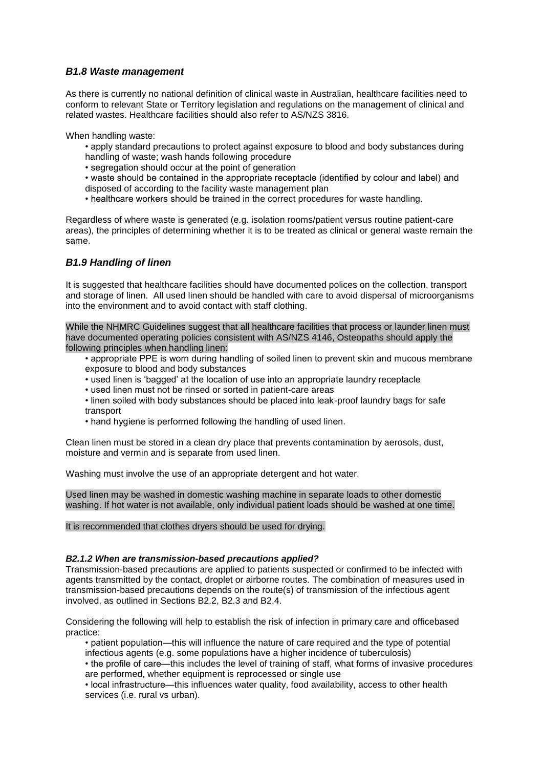# *B1.8 Waste management*

As there is currently no national definition of clinical waste in Australian, healthcare facilities need to conform to relevant State or Territory legislation and regulations on the management of clinical and related wastes. Healthcare facilities should also refer to AS/NZS 3816.

When handling waste:

- apply standard precautions to protect against exposure to blood and body substances during handling of waste; wash hands following procedure
- 
- segregation should occur at the point of generation
- waste should be contained in the appropriate receptacle (identified by colour and label) and disposed of according to the facility waste management plan
- healthcare workers should be trained in the correct procedures for waste handling.

Regardless of where waste is generated (e.g. isolation rooms/patient versus routine patient-care areas), the principles of determining whether it is to be treated as clinical or general waste remain the same.

# *B1.9 Handling of linen*

It is suggested that healthcare facilities should have documented polices on the collection, transport and storage of linen. All used linen should be handled with care to avoid dispersal of microorganisms into the environment and to avoid contact with staff clothing.

While the NHMRC Guidelines suggest that all healthcare facilities that process or launder linen must have documented operating policies consistent with AS/NZS 4146, Osteopaths should apply the following principles when handling linen:

- appropriate PPE is worn during handling of soiled linen to prevent skin and mucous membrane exposure to blood and body substances
- used linen is 'bagged' at the location of use into an appropriate laundry receptacle
- used linen must not be rinsed or sorted in patient-care areas
- linen soiled with body substances should be placed into leak-proof laundry bags for safe transport
- hand hygiene is performed following the handling of used linen.

Clean linen must be stored in a clean dry place that prevents contamination by aerosols, dust, moisture and vermin and is separate from used linen.

Washing must involve the use of an appropriate detergent and hot water.

Used linen may be washed in domestic washing machine in separate loads to other domestic washing. If hot water is not available, only individual patient loads should be washed at one time.

It is recommended that clothes dryers should be used for drying.

#### *B2.1.2 When are transmission-based precautions applied?*

Transmission-based precautions are applied to patients suspected or confirmed to be infected with agents transmitted by the contact, droplet or airborne routes. The combination of measures used in transmission-based precautions depends on the route(s) of transmission of the infectious agent involved, as outlined in Sections B2.2, B2.3 and B2.4.

Considering the following will help to establish the risk of infection in primary care and officebased practice:

- patient population—this will influence the nature of care required and the type of potential infectious agents (e.g. some populations have a higher incidence of tuberculosis)
- the profile of care—this includes the level of training of staff, what forms of invasive procedures are performed, whether equipment is reprocessed or single use

• local infrastructure—this influences water quality, food availability, access to other health services (i.e. rural vs urban).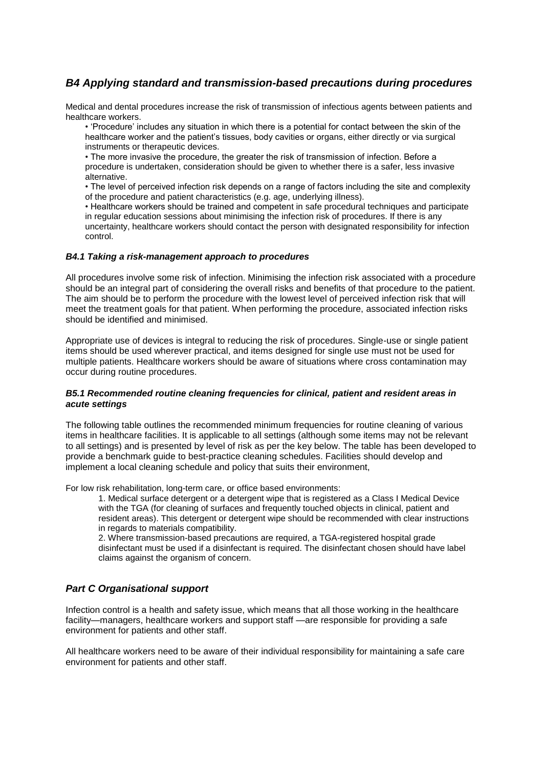# *B4 Applying standard and transmission-based precautions during procedures*

Medical and dental procedures increase the risk of transmission of infectious agents between patients and healthcare workers.

• 'Procedure' includes any situation in which there is a potential for contact between the skin of the healthcare worker and the patient's tissues, body cavities or organs, either directly or via surgical instruments or therapeutic devices.

• The more invasive the procedure, the greater the risk of transmission of infection. Before a procedure is undertaken, consideration should be given to whether there is a safer, less invasive alternative.

• The level of perceived infection risk depends on a range of factors including the site and complexity of the procedure and patient characteristics (e.g. age, underlying illness).

• Healthcare workers should be trained and competent in safe procedural techniques and participate in regular education sessions about minimising the infection risk of procedures. If there is any uncertainty, healthcare workers should contact the person with designated responsibility for infection control.

#### *B4.1 Taking a risk-management approach to procedures*

All procedures involve some risk of infection. Minimising the infection risk associated with a procedure should be an integral part of considering the overall risks and benefits of that procedure to the patient. The aim should be to perform the procedure with the lowest level of perceived infection risk that will meet the treatment goals for that patient. When performing the procedure, associated infection risks should be identified and minimised.

Appropriate use of devices is integral to reducing the risk of procedures. Single-use or single patient items should be used wherever practical, and items designed for single use must not be used for multiple patients. Healthcare workers should be aware of situations where cross contamination may occur during routine procedures.

#### *B5.1 Recommended routine cleaning frequencies for clinical, patient and resident areas in acute settings*

The following table outlines the recommended minimum frequencies for routine cleaning of various items in healthcare facilities. It is applicable to all settings (although some items may not be relevant to all settings) and is presented by level of risk as per the key below. The table has been developed to provide a benchmark guide to best-practice cleaning schedules. Facilities should develop and implement a local cleaning schedule and policy that suits their environment,

For low risk rehabilitation, long-term care, or office based environments:

1. Medical surface detergent or a detergent wipe that is registered as a Class I Medical Device with the TGA (for cleaning of surfaces and frequently touched objects in clinical, patient and resident areas). This detergent or detergent wipe should be recommended with clear instructions in regards to materials compatibility.

2. Where transmission-based precautions are required, a TGA-registered hospital grade disinfectant must be used if a disinfectant is required. The disinfectant chosen should have label claims against the organism of concern.

# *Part C Organisational support*

Infection control is a health and safety issue, which means that all those working in the healthcare facility—managers, healthcare workers and support staff —are responsible for providing a safe environment for patients and other staff.

All healthcare workers need to be aware of their individual responsibility for maintaining a safe care environment for patients and other staff.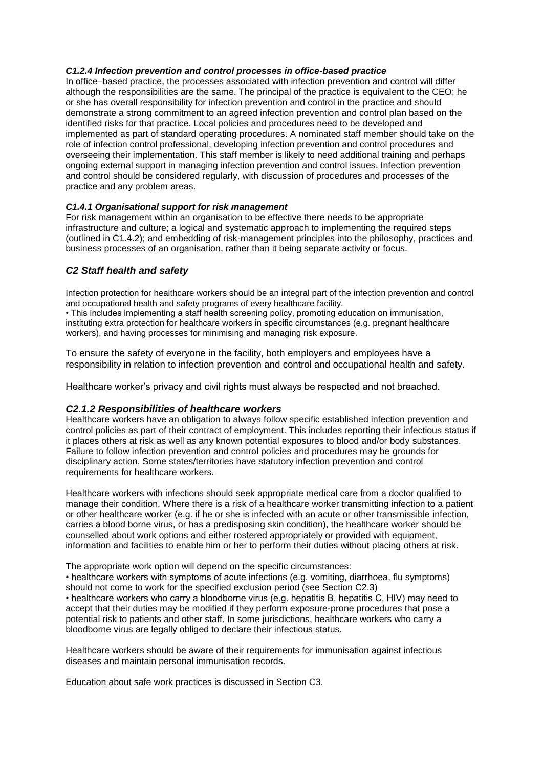# *C1.2.4 Infection prevention and control processes in office-based practice*

In office–based practice, the processes associated with infection prevention and control will differ although the responsibilities are the same. The principal of the practice is equivalent to the CEO; he or she has overall responsibility for infection prevention and control in the practice and should demonstrate a strong commitment to an agreed infection prevention and control plan based on the identified risks for that practice. Local policies and procedures need to be developed and implemented as part of standard operating procedures. A nominated staff member should take on the role of infection control professional, developing infection prevention and control procedures and overseeing their implementation. This staff member is likely to need additional training and perhaps ongoing external support in managing infection prevention and control issues. Infection prevention and control should be considered regularly, with discussion of procedures and processes of the practice and any problem areas.

# *C1.4.1 Organisational support for risk management*

For risk management within an organisation to be effective there needs to be appropriate infrastructure and culture; a logical and systematic approach to implementing the required steps (outlined in C1.4.2); and embedding of risk-management principles into the philosophy, practices and business processes of an organisation, rather than it being separate activity or focus.

# *C2 Staff health and safety*

Infection protection for healthcare workers should be an integral part of the infection prevention and control and occupational health and safety programs of every healthcare facility.

• This includes implementing a staff health screening policy, promoting education on immunisation, instituting extra protection for healthcare workers in specific circumstances (e.g. pregnant healthcare workers), and having processes for minimising and managing risk exposure.

To ensure the safety of everyone in the facility, both employers and employees have a responsibility in relation to infection prevention and control and occupational health and safety.

Healthcare worker's privacy and civil rights must always be respected and not breached.

# *C2.1.2 Responsibilities of healthcare workers*

Healthcare workers have an obligation to always follow specific established infection prevention and control policies as part of their contract of employment. This includes reporting their infectious status if it places others at risk as well as any known potential exposures to blood and/or body substances. Failure to follow infection prevention and control policies and procedures may be grounds for disciplinary action. Some states/territories have statutory infection prevention and control requirements for healthcare workers.

Healthcare workers with infections should seek appropriate medical care from a doctor qualified to manage their condition. Where there is a risk of a healthcare worker transmitting infection to a patient or other healthcare worker (e.g. if he or she is infected with an acute or other transmissible infection, carries a blood borne virus, or has a predisposing skin condition), the healthcare worker should be counselled about work options and either rostered appropriately or provided with equipment, information and facilities to enable him or her to perform their duties without placing others at risk.

The appropriate work option will depend on the specific circumstances:

• healthcare workers with symptoms of acute infections (e.g. vomiting, diarrhoea, flu symptoms) should not come to work for the specified exclusion period (see Section C2.3)

• healthcare workers who carry a bloodborne virus (e.g. hepatitis B, hepatitis C, HIV) may need to accept that their duties may be modified if they perform exposure-prone procedures that pose a potential risk to patients and other staff. In some jurisdictions, healthcare workers who carry a bloodborne virus are legally obliged to declare their infectious status.

Healthcare workers should be aware of their requirements for immunisation against infectious diseases and maintain personal immunisation records.

Education about safe work practices is discussed in Section C3.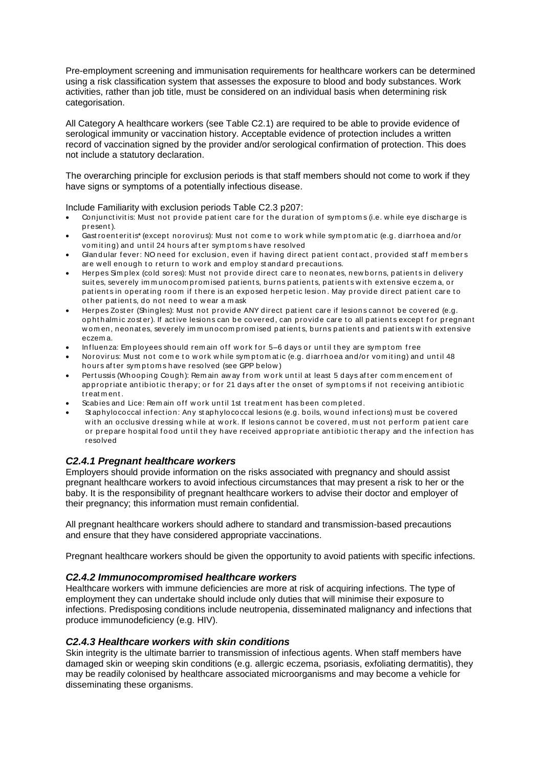Pre-employment screening and immunisation requirements for healthcare workers can be determined using a risk classification system that assesses the exposure to blood and body substances. Work activities, rather than job title, must be considered on an individual basis when determining risk categorisation.

All Category A healthcare workers (see Table C2.1) are required to be able to provide evidence of serological immunity or vaccination history. Acceptable evidence of protection includes a written record of vaccination signed by the provider and/or serological confirmation of protection. This does not include a statutory declaration.

The overarching principle for exclusion periods is that staff members should not come to work if they have signs or symptoms of a potentially infectious disease.

Include Familiarity with exclusion periods Table C2.3 p207:

- Conjunctivitis: Must not provide patient care for the duration of symptoms (i.e. while eye discharge is p resent ).
- Gast roent eritis\* (except norovirus): Must not come to work while symptomatic (e.g. diarrhoea and/or vomiting) and until 24 hours after symptoms have resolved
- Glandular fever: NO need for exclusion, even if having direct patient contact, provided staff members are well enough to return to work and employ standard precautions.
- Herpes Simplex (cold sores): Must not provide direct care to neonates, new borns, patients in delivery suites, severely im m unocom promised patients, burns patients, patients with extensive eczema, or patients in operating room if there is an exposed herpetic lesion. May provide direct patient care to other patients, do not need to wear a mask
- Herpes Zoster (Shingles): Must not provide ANY direct patient care if lesions cannot be covered (e.g. opht halm ic zoster). If active lesions can be covered, can provide care to all patients except for pregnant women, neonates, severely immunocompromised patients, burns patients and patients with extensive eczem a.
- Influenza: Employees should remain off work for 5–6 days or until they are symptom free
- Norovirus: Must not come to w ork w hile symptomatic (e.g. diarrhoea and/or vomiting) and until 48 hours after symptoms have resolved (see GPP below)
- Pert ussis (Whooping Cough): Rem ain aw ay from work until at least 5 days after commencement of appropriate antibiotic therapy; or for 21 days after the onset of symptoms if not receiving antibiotic t reat m ent .
- Scabies and Lice: Remain off work until 1st treatment has been completed.
- Staphylococcal infection: Any staphylococcal lesions (e.g. boils, wound infections) must be covered with an occlusive dressing while at work. If lesions cannot be covered, must not perform patient care or prepare hospital food until they have received appropriate antibiotic therapy and the infection has resolved

# *C2.4.1 Pregnant healthcare workers*

Employers should provide information on the risks associated with pregnancy and should assist pregnant healthcare workers to avoid infectious circumstances that may present a risk to her or the baby. It is the responsibility of pregnant healthcare workers to advise their doctor and employer of their pregnancy; this information must remain confidential.

All pregnant healthcare workers should adhere to standard and transmission-based precautions and ensure that they have considered appropriate vaccinations.

Pregnant healthcare workers should be given the opportunity to avoid patients with specific infections.

# *C2.4.2 Immunocompromised healthcare workers*

Healthcare workers with immune deficiencies are more at risk of acquiring infections. The type of employment they can undertake should include only duties that will minimise their exposure to infections. Predisposing conditions include neutropenia, disseminated malignancy and infections that produce immunodeficiency (e.g. HIV).

# *C2.4.3 Healthcare workers with skin conditions*

Skin integrity is the ultimate barrier to transmission of infectious agents. When staff members have damaged skin or weeping skin conditions (e.g. allergic eczema, psoriasis, exfoliating dermatitis), they may be readily colonised by healthcare associated microorganisms and may become a vehicle for disseminating these organisms.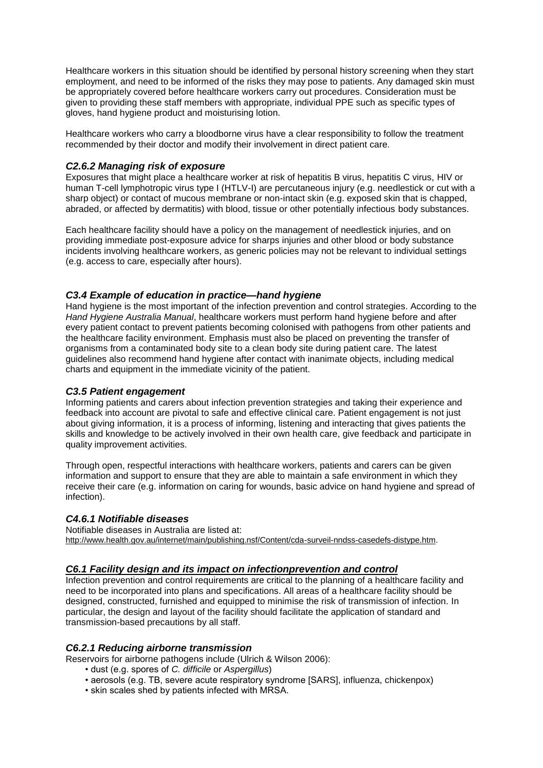Healthcare workers in this situation should be identified by personal history screening when they start employment, and need to be informed of the risks they may pose to patients. Any damaged skin must be appropriately covered before healthcare workers carry out procedures. Consideration must be given to providing these staff members with appropriate, individual PPE such as specific types of gloves, hand hygiene product and moisturising lotion.

Healthcare workers who carry a bloodborne virus have a clear responsibility to follow the treatment recommended by their doctor and modify their involvement in direct patient care.

# *C2.6.2 Managing risk of exposure*

Exposures that might place a healthcare worker at risk of hepatitis B virus, hepatitis C virus, HIV or human T-cell lymphotropic virus type I (HTLV-I) are percutaneous injury (e.g. needlestick or cut with a sharp object) or contact of mucous membrane or non-intact skin (e.g. exposed skin that is chapped, abraded, or affected by dermatitis) with blood, tissue or other potentially infectious body substances.

Each healthcare facility should have a policy on the management of needlestick injuries, and on providing immediate post-exposure advice for sharps injuries and other blood or body substance incidents involving healthcare workers, as generic policies may not be relevant to individual settings (e.g. access to care, especially after hours).

# *C3.4 Example of education in practice—hand hygiene*

Hand hygiene is the most important of the infection prevention and control strategies. According to the *Hand Hygiene Australia Manual*, healthcare workers must perform hand hygiene before and after every patient contact to prevent patients becoming colonised with pathogens from other patients and the healthcare facility environment. Emphasis must also be placed on preventing the transfer of organisms from a contaminated body site to a clean body site during patient care. The latest guidelines also recommend hand hygiene after contact with inanimate objects, including medical charts and equipment in the immediate vicinity of the patient.

# *C3.5 Patient engagement*

Informing patients and carers about infection prevention strategies and taking their experience and feedback into account are pivotal to safe and effective clinical care. Patient engagement is not just about giving information, it is a process of informing, listening and interacting that gives patients the skills and knowledge to be actively involved in their own health care, give feedback and participate in quality improvement activities.

Through open, respectful interactions with healthcare workers, patients and carers can be given information and support to ensure that they are able to maintain a safe environment in which they receive their care (e.g. information on caring for wounds, basic advice on hand hygiene and spread of infection).

# *C4.6.1 Notifiable diseases*

Notifiable diseases in Australia are listed at: [http://www.health.gov.au/internet/main/publishing.nsf/Content/cda-surveil-nndss-casedefs-distype.htm.](http://www.health.gov.au/internet/main/publishing.nsf/Content/cda-surveil-nndss-casedefs-distype.htm)

# *C6.1 Facility design and its impact on infectionprevention and control*

Infection prevention and control requirements are critical to the planning of a healthcare facility and need to be incorporated into plans and specifications. All areas of a healthcare facility should be designed, constructed, furnished and equipped to minimise the risk of transmission of infection. In particular, the design and layout of the facility should facilitate the application of standard and transmission-based precautions by all staff.

# *C6.2.1 Reducing airborne transmission*

Reservoirs for airborne pathogens include (Ulrich & Wilson 2006):

- dust (e.g. spores of *C. difficile* or *Aspergillus*)
- aerosols (e.g. TB, severe acute respiratory syndrome [SARS], influenza, chickenpox)
- skin scales shed by patients infected with MRSA.